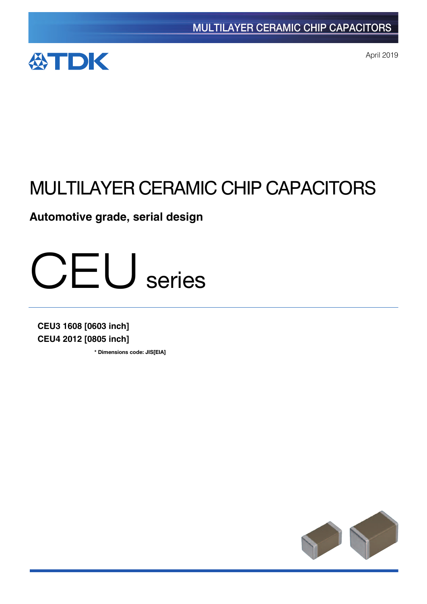

April 2019

# MULTILAYER CERAMIC CHIP CAPACITORS

**Automotive grade, serial design** 



**CEU3 1608 [0603 inch] CEU4 2012 [0805 inch]**

**\*** Dimensions code: JIS[EIA]

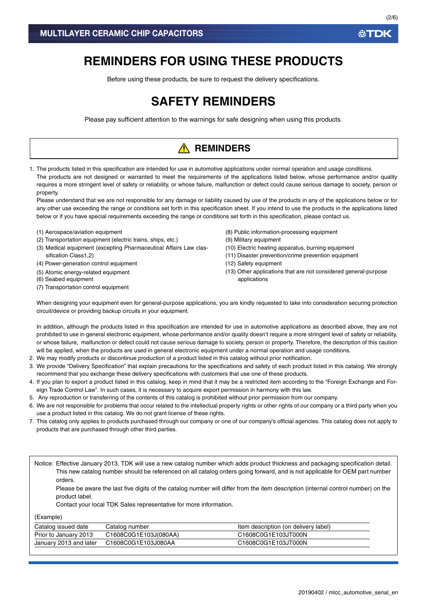# **REMINDERS FOR USING THESE PRODUCTS**

Before using these products, be sure to request the delivery specifications.

# **SAFETY REMINDERS**

Please pay sufficient attention to the warnings for safe designing when using this products.

# **A** REMINDERS

1. The products listed in this specification are intended for use in automotive applications under normal operation and usage conditions. The products are not designed or warranted to meet the requirements of the applications listed below, whose performance and/or quality requires a more stringent level of safety or reliability, or whose failure, malfunction or defect could cause serious damage to society, person or property.

Please understand that we are not responsible for any damage or liability caused by use of the products in any of the applications below or for any other use exceeding the range or conditions set forth in this specification sheet. If you intend to use the products in the applications listed below or if you have special requirements exceeding the range or conditions set forth in this specification, please contact us.

- (1) Aerospace/aviation equipment
- (2) Transportation equipment (electric trains, ships, etc.)
- (3) Medical equipment (excepting Pharmaceutical Affairs Law classification Class1,2)
- (4) Power-generation control equipment
- (5) Atomic energy-related equipment
- (6) Seabed equipment
- (7) Transportation control equipment
- (8) Public information-processing equipment
- (9) Military equipment
- (10) Electric heating apparatus, burning equipment
- (11) Disaster prevention/crime prevention equipment
- (12) Safety equipment
- (13) Other applications that are not considered general-purpose applications

When designing your equipment even for general-purpose applications, you are kindly requested to take into consideration securing protection circuit/device or providing backup circuits in your equipment.

In addition, although the products listed in this specification are intended for use in automotive applications as described above, they are not prohibited to use in general electronic equipment, whose performance and/or quality doesn't require a more stringent level of safety or reliability, or whose failure, malfunction or defect could not cause serious damage to society, person or property. Therefore, the description of this caution will be applied, when the products are used in general electronic equipment under a normal operation and usage conditions.

- 2. We may modify products or discontinue production of a product listed in this catalog without prior notification.
- 3. We provide "Delivery Specification" that explain precautions for the specifications and safety of each product listed in this catalog. We strongly recommend that you exchange these delivery specifications with customers that use one of these products.
- 4. If you plan to export a product listed in this catalog, keep in mind that it may be a restricted item according to the "Foreign Exchange and Foreign Trade Control Law". In such cases, it is necessary to acquire export permission in harmony with this law.
- 5. Any reproduction or transferring of the contents of this catalog is prohibited without prior permission from our company.
- 6. We are not responsible for problems that occur related to the intellectual property rights or other rights of our company or a third party when you use a product listed in this catalog. We do not grant license of these rights.
- 7. This catalog only applies to products purchased through our company or one of our company's official agencies. This catalog does not apply to products that are purchased through other third parties.

Notice: Effective January 2013, TDK will use a new catalog number which adds product thickness and packaging specification detail. This new catalog number should be referenced on all catalog orders going forward, and is not applicable for OEM part number orders.

Please be aware the last five digits of the catalog number will differ from the item description (internal control number) on the product label.

Contact your local TDK Sales representative for more information.

(Example)

| Catalog issued date    | Catalog number        | Item description (on delivery label) |
|------------------------|-----------------------|--------------------------------------|
| Prior to January 2013  | C1608C0G1E103J(080AA) | C1608C0G1E103JT000N                  |
| January 2013 and later | C1608C0G1E103J080AA   | C1608C0G1E103JT000N                  |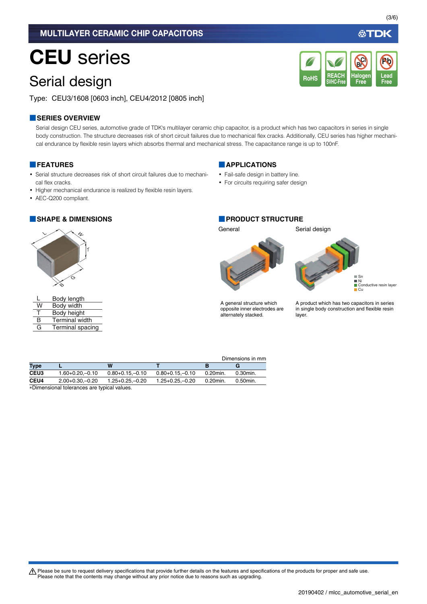## MULTILAYER CERAMIC CHIP CAPACITORS

# CEU series

# Serial design

Type: CEU3/1608 [0603 inch], CEU4/2012 [0805 inch]

### **■SERIES OVERVIEW**

Serial design CEU series, automotive grade of TDK's multilayer ceramic chip capacitor, is a product which has two capacitors in series in single body construction. The structure decreases risk of short circuit failures due to mechanical flex cracks. Additionally, CEU series has higher mechanical endurance by flexible resin layers which absorbs thermal and mechanical stress. The capacitance range is up to 100nF.

#### **■FEATURES**

- Serial structure decreases risk of short circuit failures due to mechanical flex cracks.
- Higher mechanical endurance is realized by flexible resin layers.
- AEC-Q200 compliant.

#### **■SHAPE & DIMENSIONS ■PRODUCT STRUCTURE**



|     | Body length           |
|-----|-----------------------|
| W   | Body width            |
| - Г | Body height           |
| R   | <b>Terminal width</b> |
| G   | Terminal spacing      |

#### **■APPLICATIONS**

- Fail-safe design in battery line.
- For circuits requiring safer design

General Serial design



Sn Ni Conductive resin layer Cu

A general structure which opposite inner electrodes are alternately stacked.

A product which has two capacitors in series in single body construction and flexible resin layer.

|                  |                                             |                      |                      |             | Dimensions in mm |
|------------------|---------------------------------------------|----------------------|----------------------|-------------|------------------|
| <b>Type</b>      |                                             | W                    |                      |             | G                |
| CEU <sub>3</sub> | $1.60 + 0.20 - 0.10$                        | $0.80 + 0.15 - 0.10$ | $0.80 + 0.15 - 0.10$ | 0.20min.    | 0.30min.         |
| CEU4             | $2.00+0.30-0.20$                            | $1.25 + 0.25 - 0.20$ | $1.25 + 0.25 - 0.20$ | $0.20$ min. | 0.50min.         |
|                  | *Dimensional tolerances are typical values. |                      |                      |             |                  |

t Please be sure to request delivery specifications that provide further details on the features and specifications of the products for proper and safe use. Please note that the contents may change without any prior notice due to reasons such as upgrading.

公TDK

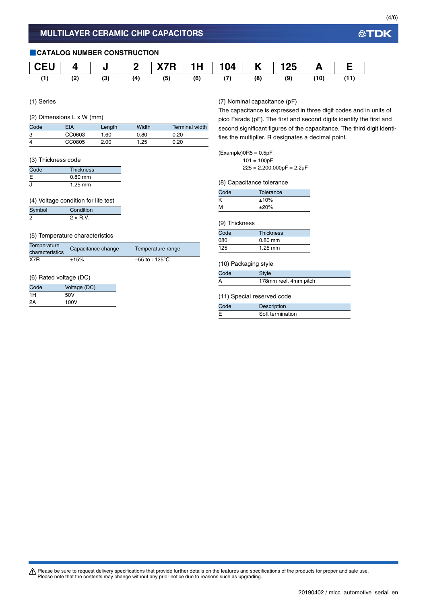

(1) Series

#### (2) Dimensions L x W (mm)

| Code | EIA    | Length | Width | <b>Terminal width</b> |
|------|--------|--------|-------|-----------------------|
| 3    | CC0603 | .60    | 0.80  | 0.20                  |
| 4    | CC0805 | 2.00   | 1.25  | 0.20                  |

#### (3) Thickness code

| Code | <b>Thickness</b> |  |
|------|------------------|--|
| E    | $0.80$ mm        |  |
| J    | $1.25$ mm        |  |

#### (4) Voltage condition for life test

| Symbol | Condition       |
|--------|-----------------|
| 2      | $2 \times R$ V. |

#### (5) Temperature characteristics

| Temperature<br>characteristics | Capacitance change | Temperature range         |  |
|--------------------------------|--------------------|---------------------------|--|
| X7R                            | ±15%               | $-55$ to $+125^{\circ}$ C |  |

#### (6) Rated voltage (DC)

| Code | Voltage (DC) |
|------|--------------|
| 1H   | 50V          |
| 2Α   | 100V         |

(7) Nominal capacitance (pF)

The capacitance is expressed in three digit codes and in units of pico Farads (pF). The first and second digits identify the first and second significant figures of the capacitance. The third digit identifies the multiplier. R designates a decimal point.

#### $(Example)$ OR5 = 0.5pF

 $101 = 100pF$  $225 = 2,200,000pF = 2.2\mu F$ 

(8) Capacitance tolerance

| Code | Tolerance  |  |
|------|------------|--|
| Κ    | ±10%       |  |
| M    | $\pm 20\%$ |  |

#### (9) Thickness

| Code       | <b>Thickness</b> |
|------------|------------------|
| <b>080</b> | $0.80$ mm        |
| 125        | $1.25$ mm        |

### (10) Packaging style

| Code | Style                 |
|------|-----------------------|
|      | 178mm reel, 4mm pitch |

#### (11) Special reserved code

| Code | Description      |
|------|------------------|
|      | Soft termination |

公TDK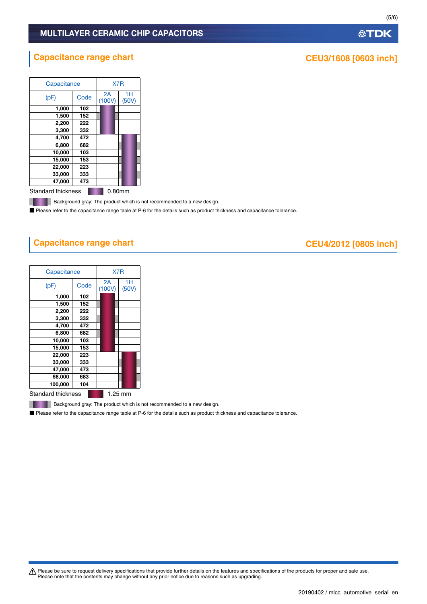## MULTILAYER CERAMIC CHIP CAPACITORS

# **Capacitance range chart CEU3/1608** [0603 inch]

Capacitance X7R

| (pF)               | Code   | 2A<br>(100V) | 1H<br>(50V) |
|--------------------|--------|--------------|-------------|
| 1,000              | 102    |              |             |
| 1,500              | 152    |              |             |
| 2,200              | 222    |              |             |
| 3,300              | 332    |              |             |
| 4,700              | 472    |              |             |
| 6,800              | 682    |              |             |
| 10,000             | 103    |              |             |
| 15,000             | 153    |              |             |
| 22,000             | 223    |              |             |
| 33,000             | 333    |              |             |
| 47.000             | 473    |              |             |
| Standard thickness | 0.80mm |              |             |

**Background gray: The product which is not recommended to a new design.** 

■ Please refer to the capacitance range table at P-6 for the details such as product thickness and capacitance tolerance.

# **Capacitance range chart CEU4/2012** [0805 inch]

| Capacitance               |      | X7 <sub>R</sub> |             |
|---------------------------|------|-----------------|-------------|
| (pF)                      | Code | 2A<br>(100V)    | 1H<br>(50V) |
| 1,000                     | 102  |                 |             |
| 1,500                     | 152  |                 |             |
| 2,200                     | 222  |                 |             |
| 3,300                     | 332  |                 |             |
| 4,700                     | 472  |                 |             |
| 6,800                     | 682  |                 |             |
| 10,000                    | 103  |                 |             |
| 15,000                    | 153  |                 |             |
| 22,000                    | 223  |                 |             |
| 33,000                    | 333  |                 |             |
| 47,000                    | 473  |                 |             |
| 68,000                    | 683  |                 |             |
| 100,000                   | 104  |                 |             |
| <b>Standard thickness</b> |      |                 | 1.25 mm     |

**Background gray: The product which is not recommended to a new design.** 

■ Please refer to the capacitance range table at P-6 for the details such as product thickness and capacitance tolerance.

Please be sure to request delivery specifications that provide further details on the features and specifications of the products for proper and safe use.<br>Please note that the contents may change without any prior notice d